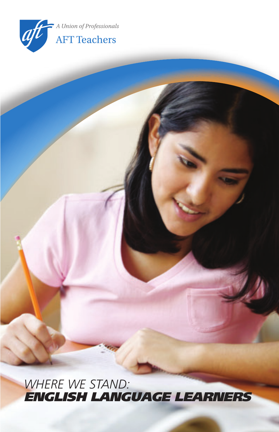

*WHERE WE STAND:* **ENGLISH LANGUAGE LEARNERS**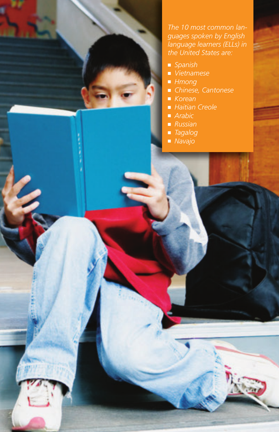*The 10 most common languages spoken by English language learners (ELLs) in*

- 
- 
- 
- 
- *Korean*
- *Haitian Creole*
- 
- 
- *Tagalog*
- 

 $\mathcal{L}$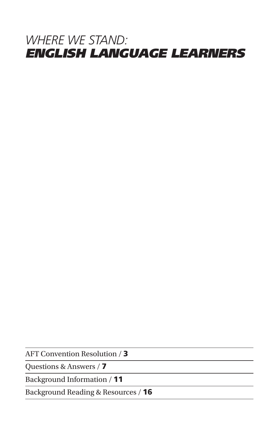## *WHERE WE STAND:* **ENGLISH LANGUAGE LEARNERS**

AFT Convention Resolution / **3**

Questions & Answers / **7**

Background Information / **11**

Background Reading & Resources / **16**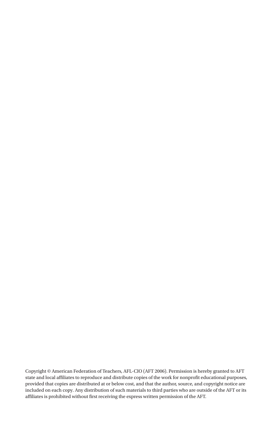Copyright © American Federation of Teachers, AFL-CIO (AFT 2006). Permission is hereby granted to AFT state and local affiliates to reproduce and distribute copies of the work for nonprofit educational purposes, provided that copies are distributed at or below cost, and that the author, source, and copyright notice are included on each copy. Any distribution of such materials to third parties who are outside of the AFT or its affiliates is prohibited without first receiving the express written permission of the AFT.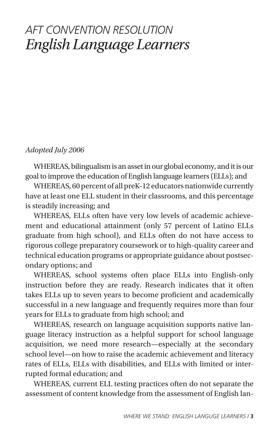## *AFT CONVENTION RESOLUTION English Language Learners*

## *Adopted July 2006*

WHEREAS, bilingualism is an asset in our global economy, and it is our goal to improve the education of English language learners (ELLs); and

WHEREAS, 60 percent of all preK-12 educators nationwide currently have at least one ELL student in their classrooms, and this percentage is steadily increasing; and

WHEREAS, ELLs often have very low levels of academic achievement and educational attainment (only 57 percent of Latino ELLs graduate from high school), and ELLs often do not have access to rigorous college preparatory coursework or to high-quality career and technical education programs or appropriate guidance about postsecondary options; and

WHEREAS, school systems often place ELLs into English-only instruction before they are ready. Research indicates that it often takes ELLs up to seven years to become proficient and academically successful in a new language and frequently requires more than four years for ELLs to graduate from high school; and

WHEREAS, research on language acquisition supports native language literacy instruction as a helpful support for school language acquisition, we need more research—especially at the secondary school level—on how to raise the academic achievement and literacy rates of ELLs, ELLs with disabilities, and ELLs with limited or interrupted formal education; and

WHEREAS, current ELL testing practices often do not separate the assessment of content knowledge from the assessment of English lan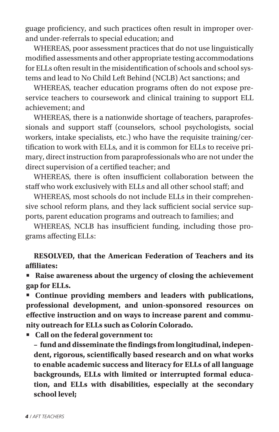guage proficiency, and such practices often result in improper overand under-referrals to special education; and

WHEREAS, poor assessment practices that do not use linguistically modified assessments and other appropriate testing accommodations for ELLs often result in the misidentification of schools and school systems and lead to No Child Left Behind (NCLB) Act sanctions; and

WHEREAS, teacher education programs often do not expose preservice teachers to coursework and clinical training to support ELL achievement; and

WHEREAS, there is a nationwide shortage of teachers, paraprofessionals and support staff (counselors, school psychologists, social workers, intake specialists, etc.) who have the requisite training/certification to work with ELLs, and it is common for ELLs to receive primary, direct instruction from paraprofessionals who are not under the direct supervision of a certified teacher; and

WHEREAS, there is often insufficient collaboration between the staff who work exclusively with ELLs and all other school staff; and

WHEREAS, most schools do not include ELLs in their comprehensive school reform plans, and they lack sufficient social service supports, parent education programs and outreach to families; and

WHEREAS, NCLB has insufficient funding, including those programs affecting ELLs:

**RESOLVED, that the American Federation of Teachers and its affi liates:**

**■ Raise awareness about the urgency of closing the achievement gap for ELLs.** 

**■ Continue providing members and leaders with publications, professional development, and union-sponsored resources on**  effective instruction and on ways to increase parent and commu**nity outreach for ELLs such as Colorín Colorado.** 

**■ Call on the federal government to:**

- fund and disseminate the findings from longitudinal, independent, rigorous, scientifically based research and on what works **to enable academic success and literacy for ELLs of all language backgrounds, ELLs with limited or interrupted formal education, and ELLs with disabilities, especially at the secondary school level;**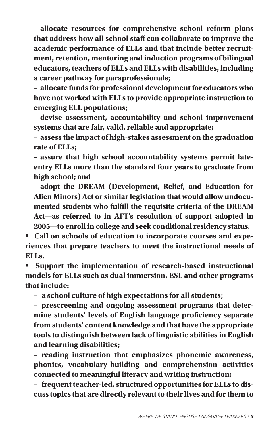**– allocate resources for comprehensive school reform plans that address how all school staff can collaborate to improve the academic performance of ELLs and that include better recruitment, retention, mentoring and induction programs of bilingual educators, teachers of ELLs and ELLs with disabilities, including a career pathway for paraprofessionals;**

**– allocate funds for professional development for educators who have not worked with ELLs to provide appropriate instruction to emerging ELL populations;**

**– devise assessment, accountability and school improvement systems that are fair, valid, reliable and appropriate;**

**– assess the impact of high-stakes assessment on the graduation rate of ELLs;**

**– assure that high school accountability systems permit lateentry ELLs more than the standard four years to graduate from high school; and**

**– adopt the DREAM (Development, Relief, and Education for Alien Minors) Act or similar legislation that would allow undocu**mented students who fulfill the requisite criteria of the DREAM **Act—as referred to in AFT's resolution of support adopted in 2005—to enroll in college and seek conditional residency status.**

**■ Call on schools of education to incorporate courses and experiences that prepare teachers to meet the instructional needs of ELLs.**

**■ Support the implementation of research-based instructional models for ELLs such as dual immersion, ESL and other programs that include:**

**– a school culture of high expectations for all students;**

**– prescreening and ongoing assessment programs that deter**mine students' levels of English language proficiency separate **from students' content knowledge and that have the appropriate tools to distinguish between lack of linguistic abilities in English and learning disabilities;**

**– reading instruction that emphasizes phonemic awareness, phonics, vocabulary-building and comprehension activities connected to meaningful literacy and writing instruction;**

**– frequent teacher-led, structured opportunities for ELLs to discuss topics that are directly relevant to their lives and for them to**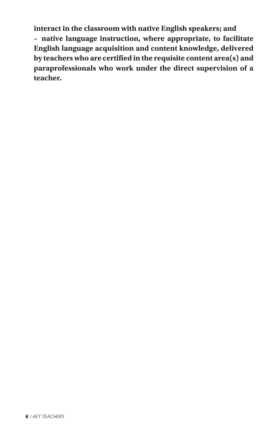**interact in the classroom with native English speakers; and – native language instruction, where appropriate, to facilitate English language acquisition and content knowledge, delivered**  by teachers who are certified in the requisite content area(s) and **paraprofessionals who work under the direct supervision of a teacher.**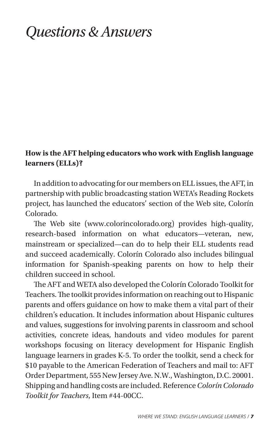## *Questions & Answers*

## **How is the AFT helping educators who work with English language learners (ELLs)?**

In addition to advocating for our members on ELL issues, the AFT, in partnership with public broadcasting station WETA's Reading Rockets project, has launched the educators' section of the Web site, Colorín Colorado.

The Web site (www.colorincolorado.org) provides high-quality, research-based information on what educators—veteran, new, mainstream or specialized—can do to help their ELL students read and succeed academically. Colorín Colorado also includes bilingual information for Spanish-speaking parents on how to help their children succeed in school.

The AFT and WETA also developed the Colorín Colorado Toolkit for Teachers. The toolkit provides information on reaching out to Hispanic parents and offers guidance on how to make them a vital part of their children's education. It includes information about Hispanic cultures and values, suggestions for involving parents in classroom and school activities, concrete ideas, handouts and video modules for parent workshops focusing on literacy development for Hispanic English language learners in grades K-5. To order the toolkit, send a check for \$10 payable to the American Federation of Teachers and mail to: AFT Order Department, 555 New Jersey Ave. N.W., Washington, D.C. 20001. Shipping and handling costs are included. Reference *Colorín Colorado Toolkit for Teachers*, Item #44-00CC.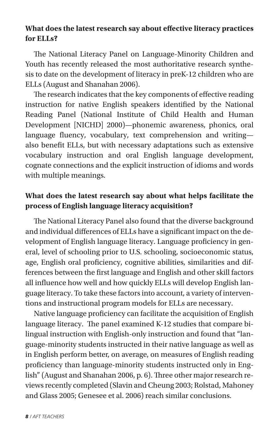## What does the latest research say about effective literacy practices **for ELLs?**

The National Literacy Panel on Language-Minority Children and Youth has recently released the most authoritative research synthesis to date on the development of literacy in preK-12 children who are ELLs (August and Shanahan 2006).

The research indicates that the key components of effective reading instruction for native English speakers identified by the National Reading Panel (National Institute of Child Health and Human Development [NICHD] 2000)—phonemic awareness, phonics, oral language fluency, vocabulary, text comprehension and writingalso benefit ELLs, but with necessary adaptations such as extensive vocabulary instruction and oral English language development, cognate connections and the explicit instruction of idioms and words with multiple meanings.

## **What does the latest research say about what helps facilitate the process of English language literacy acquisition?**

The National Literacy Panel also found that the diverse background and individual differences of ELLs have a significant impact on the development of English language literacy. Language proficiency in general, level of schooling prior to U.S. schooling, socioeconomic status, age, English oral proficiency, cognitive abilities, similarities and differences between the first language and English and other skill factors all influence how well and how quickly ELLs will develop English language literacy. To take these factors into account, a variety of interventions and instructional program models for ELLs are necessary.

Native language proficiency can facilitate the acquisition of English language literacy. The panel examined K-12 studies that compare bilingual instruction with English-only instruction and found that "language-minority students instructed in their native language as well as in English perform better, on average, on measures of English reading proficiency than language-minority students instructed only in English" (August and Shanahan 2006, p. 6). Three other major research reviews recently completed (Slavin and Cheung 2003; Rolstad, Mahoney and Glass 2005; Genesee et al. 2006) reach similar conclusions.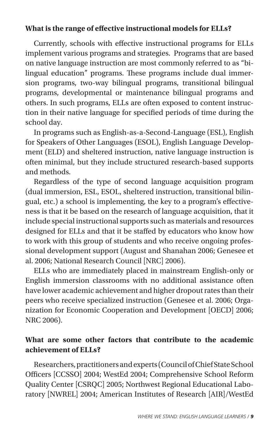## What is the range of effective instructional models for ELLs?

Currently, schools with effective instructional programs for ELLs implement various programs and strategies. Programs that are based on native language instruction are most commonly referred to as "bilingual education" programs. These programs include dual immersion programs, two-way bilingual programs, transitional bilingual programs, developmental or maintenance bilingual programs and others. In such programs, ELLs are often exposed to content instruction in their native language for specified periods of time during the school day.

In programs such as English-as-a-Second-Language (ESL), English for Speakers of Other Languages (ESOL), English Language Development (ELD) and sheltered instruction, native language instruction is often minimal, but they include structured research-based supports and methods.

Regardless of the type of second language acquisition program (dual immersion, ESL, ESOL, sheltered instruction, transitional bilingual, etc.) a school is implementing, the key to a program's effectiveness is that it be based on the research of language acquisition, that it include special instructional supports such as materials and resources designed for ELLs and that it be staffed by educators who know how to work with this group of students and who receive ongoing professional development support (August and Shanahan 2006; Genesee et al. 2006; National Research Council [NRC] 2006).

ELLs who are immediately placed in mainstream English-only or English immersion classrooms with no additional assistance often have lower academic achievement and higher dropout rates than their peers who receive specialized instruction (Genesee et al. 2006; Organization for Economic Cooperation and Development [OECD] 2006; NRC 2006).

## **What are some other factors that contribute to the academic achievement of ELLs?**

Researchers, practitioners and experts (Council of Chief State School Officers [CCSSO] 2004; WestEd 2004; Comprehensive School Reform Quality Center [CSRQC] 2005; Northwest Regional Educational Laboratory [NWREL] 2004; American Institutes of Research [AIR]/WestEd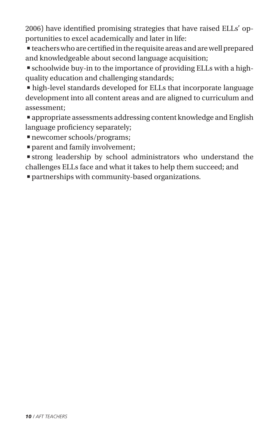2006) have identified promising strategies that have raised ELLs' opportunities to excel academically and later in life:

- teachers who are certified in the requisite areas and are well prepared and knowledgeable about second language acquisition;
- schoolwide buy-in to the importance of providing ELLs with a highquality education and challenging standards;
- high-level standards developed for ELLs that incorporate language development into all content areas and are aligned to curriculum and assessment;

■ appropriate assessments addressing content knowledge and English language proficiency separately;

- newcomer schools/programs;
- parent and family involvement;

■ strong leadership by school administrators who understand the challenges ELLs face and what it takes to help them succeed; and

■ partnerships with community-based organizations.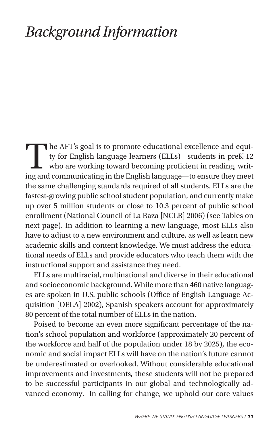# *Background Information*

The AFT's goal is to promote educational excellence and equity for English language learners (ELLs)—students in preK-12<br>who are working toward becoming proficient in reading, writing and communicating in the English langua ty for English language learners (ELLs)—students in preK-12 who are working toward becoming proficient in reading, writing and communicating in the English language—to ensure they meet the same challenging standards required of all students. ELLs are the fastest-growing public school student population, and currently make up over 5 million students or close to 10.3 percent of public school enrollment (National Council of La Raza [NCLR] 2006) (see Tables on next page). In addition to learning a new language, most ELLs also have to adjust to a new environment and culture, as well as learn new academic skills and content knowledge. We must address the educational needs of ELLs and provide educators who teach them with the instructional support and assistance they need.

ELLs are multiracial, multinational and diverse in their educational and socioeconomic background. While more than 460 native languages are spoken in U.S. public schools (Office of English Language Acquisition [OELA] 2002), Spanish speakers account for approximately 80 percent of the total number of ELLs in the nation.

Poised to become an even more significant percentage of the nation's school population and workforce (approximately 20 percent of the workforce and half of the population under 18 by 2025), the economic and social impact ELLs will have on the nation's future cannot be underestimated or overlooked. Without considerable educational improvements and investments, these students will not be prepared to be successful participants in our global and technologically advanced economy. In calling for change, we uphold our core values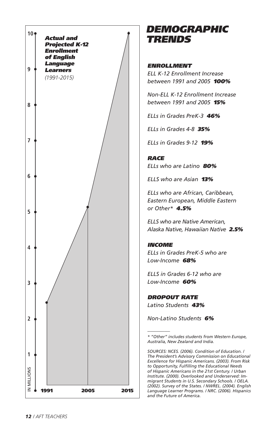

## **DEMOGRAPHIC TRENDS**

#### **ENROLLMENT**

*ELL K-12 Enrollment Increase between 1991 and 2005* **100%**

*Non-ELL K-12 Enrollment Increase between 1991 and 2005* **15%**

*ELLs in Grades PreK-3* **46%**

*ELLs in Grades 4-8* **35%**

*ELLs in Grades 9-12* **19%**

#### **RACE**

*ELLs who are Latino* **80%**

*ELLS who are Asian* **13%**

*ELLs who are African, Caribbean, Eastern European, Middle Eastern or Other\** **4.5%**

*ELLS who are Native American, Alaska Native, Hawaiian Native* **2.5%**

#### **INCOME**

*\_\_\_\_\_\_\_\_*

*ELLs in Grades PreK-5 who are Low-Income* **68%**

*ELLS in Grades 6-12 who are Low-Income* **60%**

#### **DROPOUT RATE**

*Latino Students* **43%**

*Non-Latino Students* **6%**

*<sup>\* &</sup>quot;Other" includes students from Western Europe, Australia, New Zealand and India.*

*SOURCES: NCES. (2006). Condition of Education. / The President's Advisory Commission on Educational Excellence for Hispanic Americans. (2003). From Risk to Opportunity, Fulfi lling the Educational Needs of Hispanic Americans in the 21st Century. / Urban Institute. (2000). Overlooked and Underserved: Immigrant Students in U.S. Secondary Schools. / OELA. (2002). Survey of the States. / NWREL. (2004). English Language Learner Programs. / NRC. (2006). Hispanics and the Future of America.*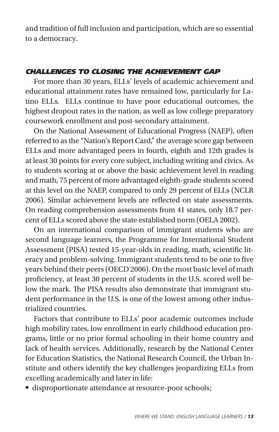and tradition of full inclusion and participation, which are so essential to a democracy.

## **CHALLENGES TO CLOSING THE ACHIEVEMENT GAP**

For more than 30 years, ELLs' levels of academic achievement and educational attainment rates have remained low, particularly for Latino ELLs. ELLs continue to have poor educational outcomes, the highest dropout rates in the nation, as well as low college preparatory coursework enrollment and post-secondary attainment.

On the National Assessment of Educational Progress (NAEP), often referred to as the "Nation's Report Card," the average score gap between ELLs and more advantaged peers in fourth, eighth and 12th grades is at least 30 points for every core subject, including writing and civics. As to students scoring at or above the basic achievement level in reading and math, 75 percent of more advantaged eighth-grade students scored at this level on the NAEP, compared to only 29 percent of ELLs (NCLR 2006). Similar achievement levels are reflected on state assessments. On reading comprehension assessments from 41 states, only 18.7 percent of ELLs scored above the state established norm (OELA 2002).

On an international comparison of immigrant students who are second language learners, the Programme for International Student Assessment (PISA) tested 15-year-olds in reading, math, scientific literacy and problem-solving. Immigrant students tend to be one to five years behind their peers (OECD 2006). On the most basic level of math proficiency, at least 30 percent of students in the U.S. scored well below the mark. The PISA results also demonstrate that immigrant student performance in the U.S. is one of the lowest among other industrialized countries.

Factors that contribute to ELLs' poor academic outcomes include high mobility rates, low enrollment in early childhood education programs, little or no prior formal schooling in their home country and lack of health services. Additionally, research by the National Center for Education Statistics, the National Research Council, the Urban Institute and others identify the key challenges jeopardizing ELLs from excelling academically and later in life:

■ disproportionate attendance at resource-poor schools;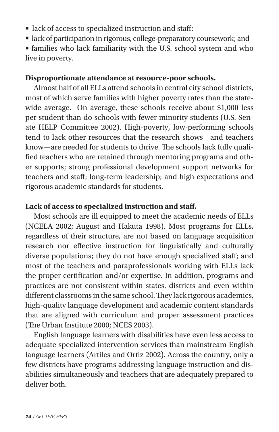- lack of access to specialized instruction and staff;
- lack of participation in rigorous, college-preparatory coursework; and

■ families who lack familiarity with the U.S. school system and who live in poverty.

## **Disproportionate attendance at resource-poor schools.**

Almost half of all ELLs attend schools in central city school districts, most of which serve families with higher poverty rates than the statewide average. On average, these schools receive about \$1,000 less per student than do schools with fewer minority students (U.S. Senate HELP Committee 2002). High-poverty, low-performing schools tend to lack other resources that the research shows—and teachers know—are needed for students to thrive. The schools lack fully qualified teachers who are retained through mentoring programs and other supports; strong professional development support networks for teachers and staff; long-term leadership; and high expectations and rigorous academic standards for students.

## **Lack of access to specialized instruction and staff .**

Most schools are ill equipped to meet the academic needs of ELLs (NCELA 2002; August and Hakuta 1998). Most programs for ELLs, regardless of their structure, are not based on language acquisition research nor effective instruction for linguistically and culturally diverse populations; they do not have enough specialized staff; and most of the teachers and paraprofessionals working with ELLs lack the proper certification and/or expertise. In addition, programs and practices are not consistent within states, districts and even within different classrooms in the same school. They lack rigorous academics, high-quality language development and academic content standards that are aligned with curriculum and proper assessment practices (The Urban Institute 2000; NCES 2003).

English language learners with disabilities have even less access to adequate specialized intervention services than mainstream English language learners (Artiles and Ortiz 2002). Across the country, only a few districts have programs addressing language instruction and disabilities simultaneously and teachers that are adequately prepared to deliver both.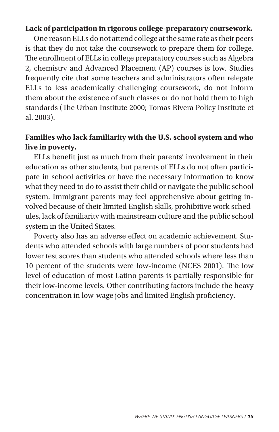## **Lack of participation in rigorous college-preparatory coursework.**

One reason ELLs do not attend college at the same rate as their peers is that they do not take the coursework to prepare them for college. The enrollment of ELLs in college preparatory courses such as Algebra 2, chemistry and Advanced Placement (AP) courses is low. Studies frequently cite that some teachers and administrators often relegate ELLs to less academically challenging coursework, do not inform them about the existence of such classes or do not hold them to high standards (The Urban Institute 2000; Tomas Rivera Policy Institute et al. 2003).

## **Families who lack familiarity with the U.S. school system and who live in poverty.**

ELLs benefit just as much from their parents' involvement in their education as other students, but parents of ELLs do not often participate in school activities or have the necessary information to know what they need to do to assist their child or navigate the public school system. Immigrant parents may feel apprehensive about getting involved because of their limited English skills, prohibitive work schedules, lack of familiarity with mainstream culture and the public school system in the United States.

Poverty also has an adverse effect on academic achievement. Students who attended schools with large numbers of poor students had lower test scores than students who attended schools where less than 10 percent of the students were low-income (NCES 2001). The low level of education of most Latino parents is partially responsible for their low-income levels. Other contributing factors include the heavy concentration in low-wage jobs and limited English proficiency.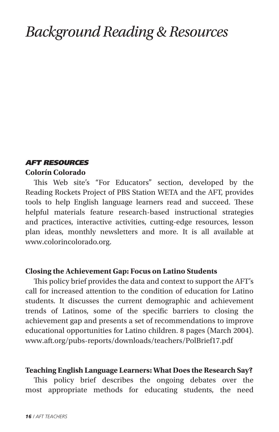# *Background Reading & Resources*

### **AFT RESOURCES**

#### **Colorín Colorado**

This Web site's "For Educators" section, developed by the Reading Rockets Project of PBS Station WETA and the AFT, provides tools to help English language learners read and succeed. These helpful materials feature research-based instructional strategies and practices, interactive activities, cutting-edge resources, lesson plan ideas, monthly newsletters and more. It is all available at www.colorincolorado.org.

### **Closing the Achievement Gap: Focus on Latino Students**

This policy brief provides the data and context to support the AFT's call for increased attention to the condition of education for Latino students. It discusses the current demographic and achievement trends of Latinos, some of the specific barriers to closing the achievement gap and presents a set of recommendations to improve educational opportunities for Latino children. 8 pages (March 2004). www.aft.org/pubs-reports/downloads/teachers/PolBrief17.pdf

### **Teaching English Language Learners: What Does the Research Say?**

This policy brief describes the ongoing debates over the most appropriate methods for educating students, the need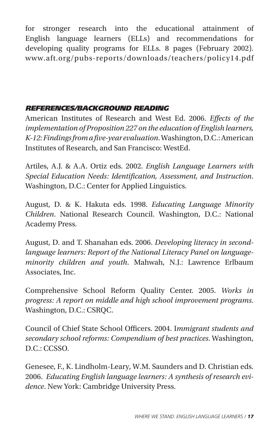for stronger research into the educational attainment of English language learners (ELLs) and recommendations for developing quality programs for ELLs. 8 pages (February 2002). www.aft.org/pubs-reports/downloads/teachers/policy14.pdf

## **REFERENCES/BACKGROUND READING**

American Institutes of Research and West Ed. 2006. *Effects of the implementation of Proposition 227 on the education of English learners, K-12: Findings from a fi ve-year evaluation*. Washington, D.C.: American Institutes of Research, and San Francisco: WestEd.

Artiles, A.J. & A.A. Ortiz eds. 2002. *English Language Learners with Special Education Needs: Identification, Assessment, and Instruction.* Washington, D.C.: Center for Applied Linguistics.

August, D. & K. Hakuta eds. 1998. *Educating Language Minority Children*. National Research Council. Washington, D.C.: National Academy Press.

August, D. and T. Shanahan eds. 2006. *Developing literacy in secondlanguage learners: Report of the National Literacy Panel on languageminority children and youth*. Mahwah, N.J.: Lawrence Erlbaum Associates, Inc.

Comprehensive School Reform Quality Center. 2005. *Works in progress: A report on middle and high school improvement programs*. Washington, D.C.: CSRQC.

Council of Chief State School Officers. 2004. Immigrant students and *secondary school reforms: Compendium of best practices*. Washington, D.C.: CCSSO.

Genesee, F., K. Lindholm-Leary, W.M. Saunders and D. Christian eds. 2006. *Educating English language learners: A synthesis of research evidence*. New York: Cambridge University Press.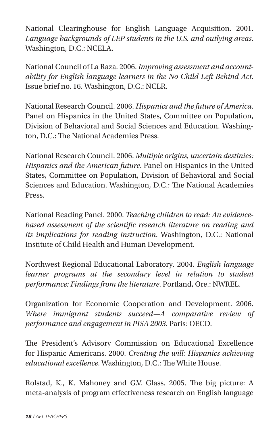National Clearinghouse for English Language Acquisition. 2001. *Language backgrounds of LEP students in the U.S. and outlying areas*. Washington, D.C.: NCELA.

National Council of La Raza. 2006. *Improving assessment and accountability for English language learners in the No Child Left Behind Act*. Issue brief no. 16. Washington, D.C.: NCLR.

National Research Council. 2006. *Hispanics and the future of America*. Panel on Hispanics in the United States, Committee on Population, Division of Behavioral and Social Sciences and Education. Washington, D.C.: The National Academies Press.

National Research Council. 2006. *Multiple origins, uncertain destinies: Hispanics and the American future*. Panel on Hispanics in the United States, Committee on Population, Division of Behavioral and Social Sciences and Education. Washington, D.C.: The National Academies Press.

National Reading Panel. 2000. *Teaching children to read: An evidence*based assessment of the scientific research literature on reading and *its implications for reading instruction*. Washington, D.C.: National Institute of Child Health and Human Development.

Northwest Regional Educational Laboratory. 2004. *English language learner programs at the secondary level in relation to student performance: Findings from the literature*. Portland, Ore.: NWREL.

Organization for Economic Cooperation and Development. 2006. *Where immigrant students succeed—A comparative review of performance and engagement in PISA 2003*. Paris: OECD.

The President's Advisory Commission on Educational Excellence for Hispanic Americans. 2000. *Creating the will: Hispanics achieving educational excellence*. Washington, D.C.: The White House.

Rolstad, K., K. Mahoney and G.V. Glass. 2005. The big picture: A meta-analysis of program effectiveness research on English language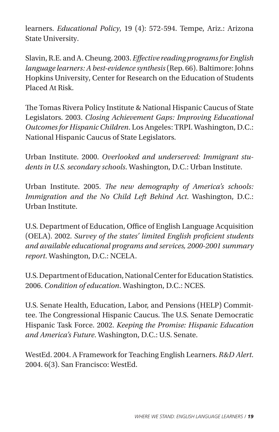learners. *Educational Policy*, 19 (4): 572-594. Tempe, Ariz.: Arizona State University.

Slavin, R.E. and A. Cheung. 2003. *Effective reading programs for English language learners: A best-evidence synthesis* (Rep. 66). Baltimore: Johns Hopkins University, Center for Research on the Education of Students Placed At Risk.

The Tomas Rivera Policy Institute & National Hispanic Caucus of State Legislators. 2003. *Closing Achievement Gaps: Improving Educational Outcomes for Hispanic Children*. Los Angeles: TRPI. Washington, D.C.: National Hispanic Caucus of State Legislators.

Urban Institute. 2000. *Overlooked and underserved: Immigrant students in U.S. secondary schools*. Washington, D.C.: Urban Institute.

Urban Institute. 2005. *The new demography of America's schools: Immigration and the No Child Left Behind Act*. Washington, D.C.: Urban Institute.

U.S. Department of Education, Office of English Language Acquisition (OELA). 2002. *Survey of the states' limited English proficient students and available educational programs and services, 2000-2001 summary report*. Washington, D.C.: NCELA.

U.S. Department of Education, National Center for Education Statistics. 2006. *Condition of education*. Washington, D.C.: NCES.

U.S. Senate Health, Education, Labor, and Pensions (HELP) Committee. The Congressional Hispanic Caucus. The U.S. Senate Democratic Hispanic Task Force. 2002. *Keeping the Promise: Hispanic Education and America's Future*. Washington, D.C.: U.S. Senate.

WestEd. 2004. A Framework for Teaching English Learners. *R&D Alert*. 2004. 6(3). San Francisco: WestEd.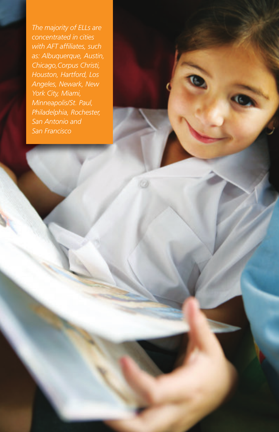*concentrated in cities as: Albuquerque, Austin, Chicago,Corpus Christi, Minneapolis/St. Paul, Philadelphia, Rochester, San Antonio and San Francisco*